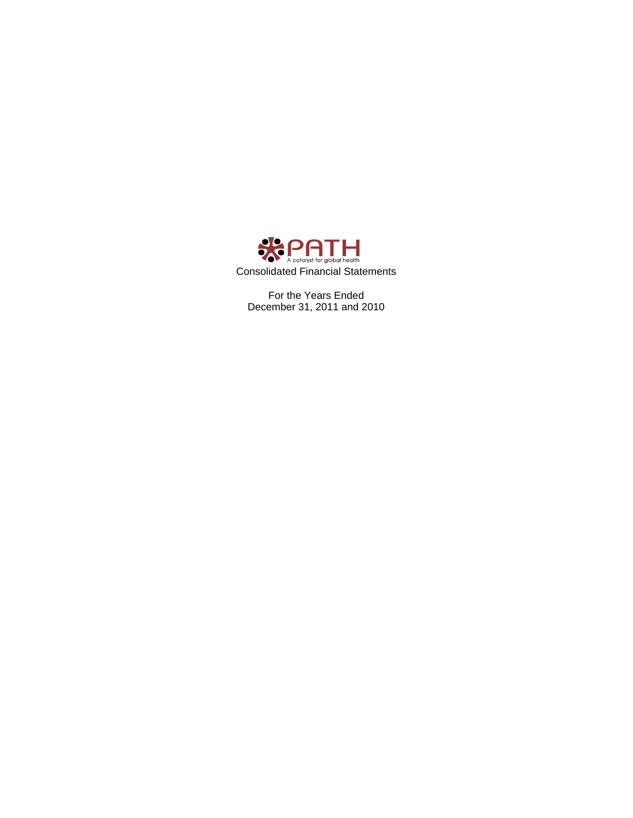

For the Years Ended December 31, 2011 and 2010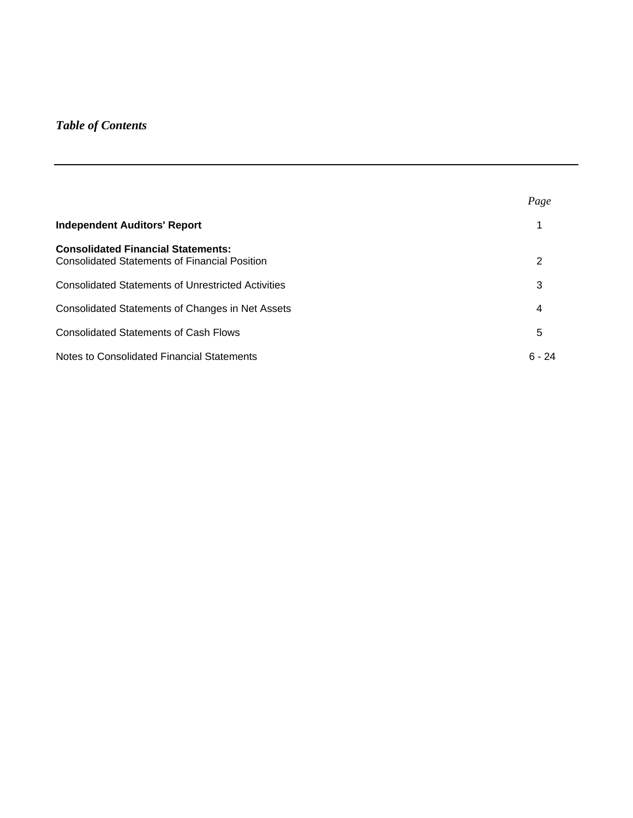# *Table of Contents*

|                                                                                                   | Page     |
|---------------------------------------------------------------------------------------------------|----------|
| <b>Independent Auditors' Report</b>                                                               |          |
| <b>Consolidated Financial Statements:</b><br><b>Consolidated Statements of Financial Position</b> | 2        |
| <b>Consolidated Statements of Unrestricted Activities</b>                                         | 3        |
| Consolidated Statements of Changes in Net Assets                                                  | 4        |
| <b>Consolidated Statements of Cash Flows</b>                                                      | 5        |
| Notes to Consolidated Financial Statements                                                        | $6 - 24$ |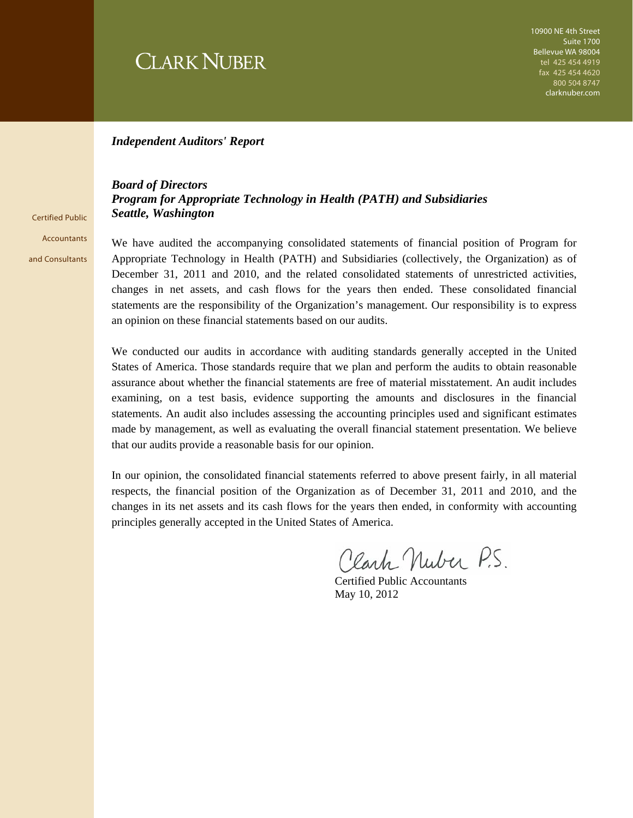# **CLARK NUBER**

#### *Independent Auditors' Report*

#### *Board of Directors Program for Appropriate Technology in Health (PATH) and Subsidiaries Seattle, Washington*

Certified Public **Accountants** and Consultants

We have audited the accompanying consolidated statements of financial position of Program for Appropriate Technology in Health (PATH) and Subsidiaries (collectively, the Organization) as of December 31, 2011 and 2010, and the related consolidated statements of unrestricted activities, changes in net assets, and cash flows for the years then ended. These consolidated financial statements are the responsibility of the Organization's management. Our responsibility is to express an opinion on these financial statements based on our audits.

We conducted our audits in accordance with auditing standards generally accepted in the United States of America. Those standards require that we plan and perform the audits to obtain reasonable assurance about whether the financial statements are free of material misstatement. An audit includes examining, on a test basis, evidence supporting the amounts and disclosures in the financial statements. An audit also includes assessing the accounting principles used and significant estimates made by management, as well as evaluating the overall financial statement presentation. We believe that our audits provide a reasonable basis for our opinion.

In our opinion, the consolidated financial statements referred to above present fairly, in all material respects, the financial position of the Organization as of December 31, 2011 and 2010, and the changes in its net assets and its cash flows for the years then ended, in conformity with accounting principles generally accepted in the United States of America.

Clark Nuber P.S.

Certified Public Accountants May 10, 2012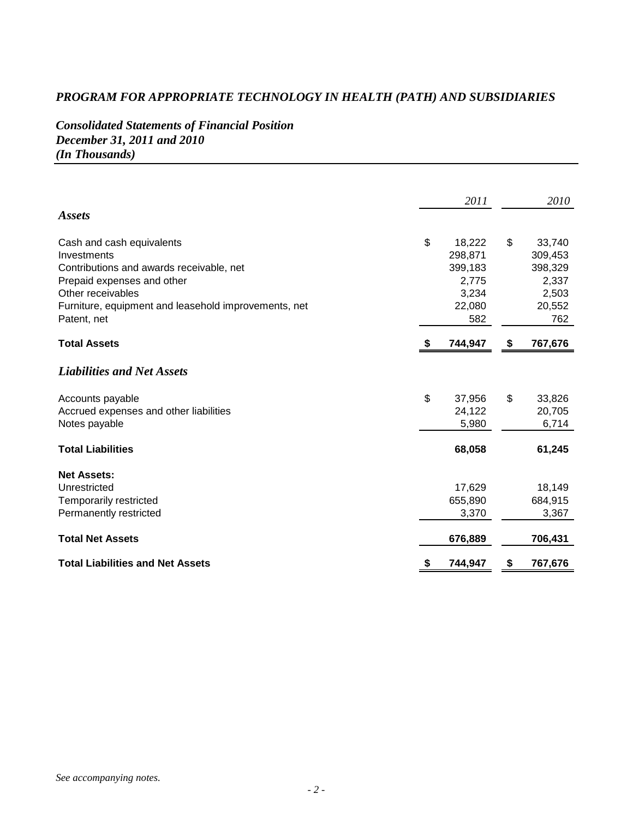# *Consolidated Statements of Financial Position December 31, 2011 and 2010 (In Thousands)*

|                                                      | 2011          | 2010          |
|------------------------------------------------------|---------------|---------------|
| <b>Assets</b>                                        |               |               |
| Cash and cash equivalents                            | \$<br>18,222  | \$<br>33,740  |
| Investments                                          | 298,871       | 309,453       |
| Contributions and awards receivable, net             | 399,183       | 398,329       |
| Prepaid expenses and other                           | 2,775         | 2,337         |
| Other receivables                                    | 3,234         | 2,503         |
| Furniture, equipment and leasehold improvements, net | 22,080        | 20,552        |
| Patent, net                                          | 582           | 762           |
| <b>Total Assets</b>                                  | 744,947       | \$<br>767,676 |
| <b>Liabilities and Net Assets</b>                    |               |               |
| Accounts payable                                     | \$<br>37,956  | \$<br>33,826  |
| Accrued expenses and other liabilities               | 24,122        | 20,705        |
| Notes payable                                        | 5,980         | 6,714         |
| <b>Total Liabilities</b>                             | 68,058        | 61,245        |
| <b>Net Assets:</b>                                   |               |               |
| Unrestricted                                         | 17,629        | 18,149        |
| Temporarily restricted                               | 655,890       | 684,915       |
| Permanently restricted                               | 3,370         | 3,367         |
| <b>Total Net Assets</b>                              | 676,889       | 706,431       |
| <b>Total Liabilities and Net Assets</b>              | \$<br>744,947 | \$<br>767,676 |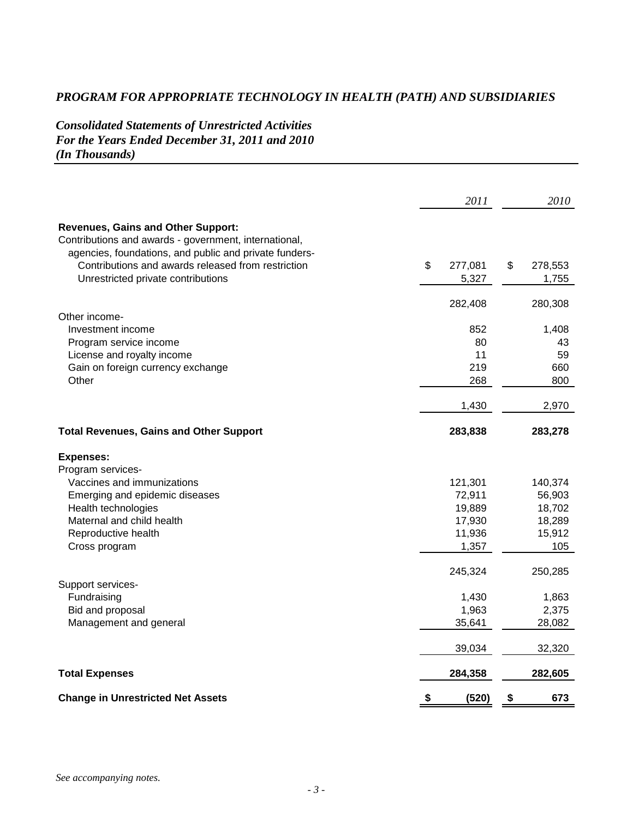*Consolidated Statements of Unrestricted Activities For the Years Ended December 31, 2011 and 2010 (In Thousands)* 

|                                                                                                                                                              | 2011                   | 2010                   |
|--------------------------------------------------------------------------------------------------------------------------------------------------------------|------------------------|------------------------|
| <b>Revenues, Gains and Other Support:</b><br>Contributions and awards - government, international,<br>agencies, foundations, and public and private funders- |                        |                        |
| Contributions and awards released from restriction<br>Unrestricted private contributions                                                                     | \$<br>277,081<br>5,327 | \$<br>278,553<br>1,755 |
| Other income-                                                                                                                                                | 282,408                | 280,308                |
| Investment income                                                                                                                                            | 852                    | 1,408                  |
| Program service income                                                                                                                                       | 80                     | 43                     |
| License and royalty income                                                                                                                                   | 11                     | 59                     |
| Gain on foreign currency exchange                                                                                                                            | 219                    | 660                    |
| Other                                                                                                                                                        | 268                    | 800                    |
|                                                                                                                                                              | 1,430                  | 2,970                  |
| <b>Total Revenues, Gains and Other Support</b>                                                                                                               | 283,838                | 283,278                |
| <b>Expenses:</b>                                                                                                                                             |                        |                        |
| Program services-                                                                                                                                            |                        |                        |
| Vaccines and immunizations                                                                                                                                   | 121,301                | 140,374                |
| Emerging and epidemic diseases                                                                                                                               | 72,911                 | 56,903                 |
| Health technologies                                                                                                                                          | 19,889                 | 18,702                 |
| Maternal and child health                                                                                                                                    | 17,930                 | 18,289                 |
| Reproductive health                                                                                                                                          | 11,936                 | 15,912                 |
| Cross program                                                                                                                                                | 1,357                  | 105                    |
|                                                                                                                                                              | 245,324                | 250,285                |
| Support services-                                                                                                                                            | 1,430                  | 1,863                  |
| Fundraising<br>Bid and proposal                                                                                                                              | 1,963                  | 2,375                  |
| Management and general                                                                                                                                       | 35,641                 | 28,082                 |
|                                                                                                                                                              |                        |                        |
|                                                                                                                                                              | 39,034                 | 32,320                 |
| <b>Total Expenses</b>                                                                                                                                        | 284,358                | 282,605                |
| <b>Change in Unrestricted Net Assets</b>                                                                                                                     | \$<br>(520)            | \$<br>673              |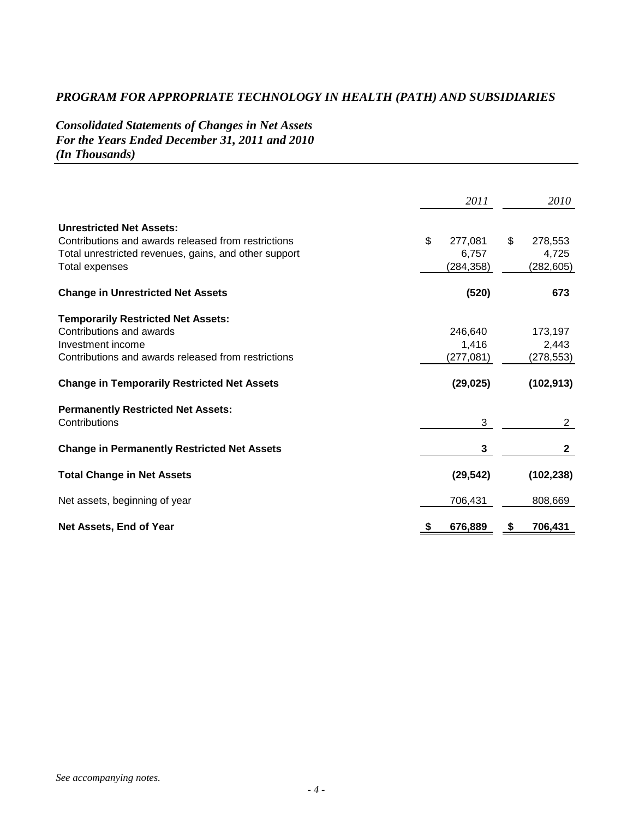*Consolidated Statements of Changes in Net Assets For the Years Ended December 31, 2011 and 2010 (In Thousands)* 

|                                                       | 2011          | 2010           |
|-------------------------------------------------------|---------------|----------------|
| <b>Unrestricted Net Assets:</b>                       |               |                |
| Contributions and awards released from restrictions   | \$<br>277,081 | \$<br>278,553  |
| Total unrestricted revenues, gains, and other support | 6,757         | 4,725          |
| Total expenses                                        | (284, 358)    | (282, 605)     |
| <b>Change in Unrestricted Net Assets</b>              | (520)         | 673            |
| <b>Temporarily Restricted Net Assets:</b>             |               |                |
| Contributions and awards                              | 246.640       | 173,197        |
| Investment income                                     | 1,416         | 2,443          |
| Contributions and awards released from restrictions   | (277, 081)    | (278,553)      |
| <b>Change in Temporarily Restricted Net Assets</b>    | (29, 025)     | (102, 913)     |
| <b>Permanently Restricted Net Assets:</b>             |               |                |
| Contributions                                         | 3             | $\overline{2}$ |
| <b>Change in Permanently Restricted Net Assets</b>    | 3             | $\mathbf{2}$   |
| <b>Total Change in Net Assets</b>                     | (29, 542)     | (102, 238)     |
| Net assets, beginning of year                         | 706,431       | 808,669        |
| Net Assets, End of Year                               | 676,889       | 706,431        |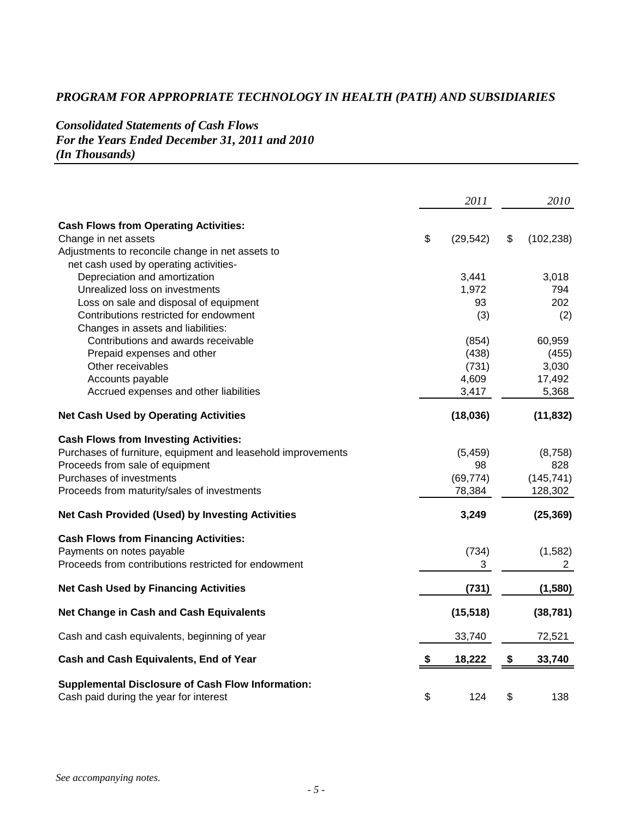*Consolidated Statements of Cash Flows For the Years Ended December 31, 2011 and 2010 (In Thousands)* 

|                                                                                                    | 2011            | 2010             |
|----------------------------------------------------------------------------------------------------|-----------------|------------------|
|                                                                                                    |                 |                  |
| <b>Cash Flows from Operating Activities:</b>                                                       |                 |                  |
| Change in net assets                                                                               | \$<br>(29, 542) | \$<br>(102, 238) |
| Adjustments to reconcile change in net assets to                                                   |                 |                  |
| net cash used by operating activities-                                                             |                 |                  |
| Depreciation and amortization                                                                      | 3,441           | 3,018            |
| Unrealized loss on investments                                                                     | 1,972           | 794              |
| Loss on sale and disposal of equipment                                                             | 93              | 202              |
| Contributions restricted for endowment                                                             | (3)             | (2)              |
| Changes in assets and liabilities:                                                                 |                 |                  |
| Contributions and awards receivable                                                                | (854)           | 60,959           |
| Prepaid expenses and other                                                                         | (438)           | (455)            |
| Other receivables                                                                                  | (731)           | 3,030            |
| Accounts payable                                                                                   | 4,609           | 17,492           |
| Accrued expenses and other liabilities                                                             | 3,417           | 5,368            |
| <b>Net Cash Used by Operating Activities</b>                                                       | (18,036)        | (11, 832)        |
| <b>Cash Flows from Investing Activities:</b>                                                       |                 |                  |
| Purchases of furniture, equipment and leasehold improvements                                       | (5, 459)        | (8,758)          |
| Proceeds from sale of equipment                                                                    | 98              | 828              |
| Purchases of investments                                                                           | (69, 774)       | (145, 741)       |
| Proceeds from maturity/sales of investments                                                        | 78,384          | 128,302          |
| Net Cash Provided (Used) by Investing Activities                                                   | 3,249           | (25, 369)        |
| <b>Cash Flows from Financing Activities:</b>                                                       |                 |                  |
| Payments on notes payable                                                                          | (734)           | (1, 582)         |
| Proceeds from contributions restricted for endowment                                               | 3               | 2                |
| <b>Net Cash Used by Financing Activities</b>                                                       | (731)           | (1,580)          |
| Net Change in Cash and Cash Equivalents                                                            | (15, 518)       | (38, 781)        |
| Cash and cash equivalents, beginning of year                                                       | 33,740          | 72,521           |
|                                                                                                    |                 |                  |
| Cash and Cash Equivalents, End of Year                                                             | \$<br>18,222    | \$<br>33,740     |
| <b>Supplemental Disclosure of Cash Flow Information:</b><br>Cash paid during the year for interest | \$<br>124       | \$<br>138        |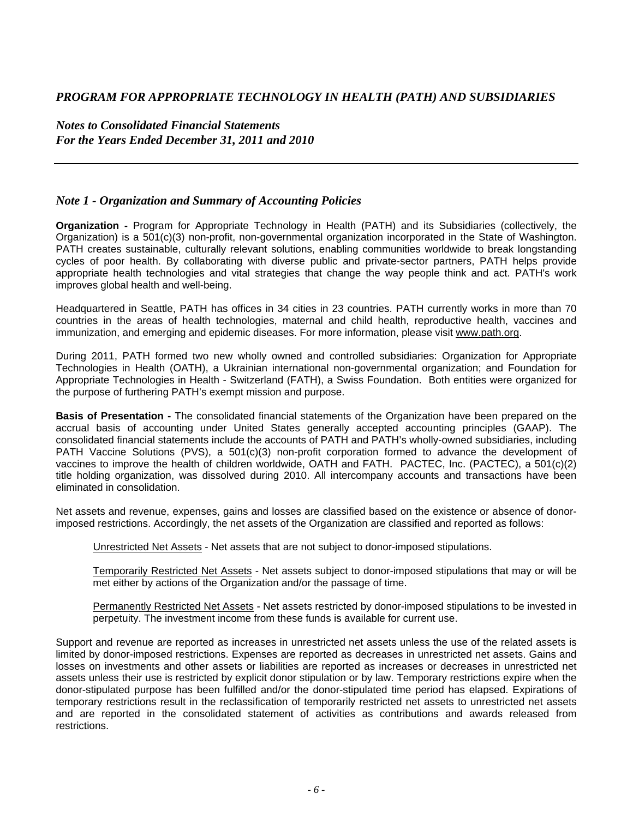*Notes to Consolidated Financial Statements For the Years Ended December 31, 2011 and 2010* 

#### *Note 1 - Organization and Summary of Accounting Policies*

**Organization -** Program for Appropriate Technology in Health (PATH) and its Subsidiaries (collectively, the Organization) is a 501(c)(3) non-profit, non-governmental organization incorporated in the State of Washington. PATH creates sustainable, culturally relevant solutions, enabling communities worldwide to break longstanding cycles of poor health. By collaborating with diverse public and private-sector partners, PATH helps provide appropriate health technologies and vital strategies that change the way people think and act. PATH's work improves global health and well-being.

Headquartered in Seattle, PATH has offices in 34 cities in 23 countries. PATH currently works in more than 70 countries in the areas of health technologies, maternal and child health, reproductive health, vaccines and immunization, and emerging and epidemic diseases. For more information, please visit www.path.org.

During 2011, PATH formed two new wholly owned and controlled subsidiaries: Organization for Appropriate Technologies in Health (OATH), a Ukrainian international non-governmental organization; and Foundation for Appropriate Technologies in Health - Switzerland (FATH), a Swiss Foundation. Both entities were organized for the purpose of furthering PATH's exempt mission and purpose.

**Basis of Presentation -** The consolidated financial statements of the Organization have been prepared on the accrual basis of accounting under United States generally accepted accounting principles (GAAP). The consolidated financial statements include the accounts of PATH and PATH's wholly-owned subsidiaries, including PATH Vaccine Solutions (PVS), a 501(c)(3) non-profit corporation formed to advance the development of vaccines to improve the health of children worldwide, OATH and FATH. PACTEC, Inc. (PACTEC), a 501(c)(2) title holding organization, was dissolved during 2010. All intercompany accounts and transactions have been eliminated in consolidation.

Net assets and revenue, expenses, gains and losses are classified based on the existence or absence of donorimposed restrictions. Accordingly, the net assets of the Organization are classified and reported as follows:

Unrestricted Net Assets - Net assets that are not subject to donor-imposed stipulations.

Temporarily Restricted Net Assets - Net assets subject to donor-imposed stipulations that may or will be met either by actions of the Organization and/or the passage of time.

Permanently Restricted Net Assets - Net assets restricted by donor-imposed stipulations to be invested in perpetuity. The investment income from these funds is available for current use.

Support and revenue are reported as increases in unrestricted net assets unless the use of the related assets is limited by donor-imposed restrictions. Expenses are reported as decreases in unrestricted net assets. Gains and losses on investments and other assets or liabilities are reported as increases or decreases in unrestricted net assets unless their use is restricted by explicit donor stipulation or by law. Temporary restrictions expire when the donor-stipulated purpose has been fulfilled and/or the donor-stipulated time period has elapsed. Expirations of temporary restrictions result in the reclassification of temporarily restricted net assets to unrestricted net assets and are reported in the consolidated statement of activities as contributions and awards released from restrictions.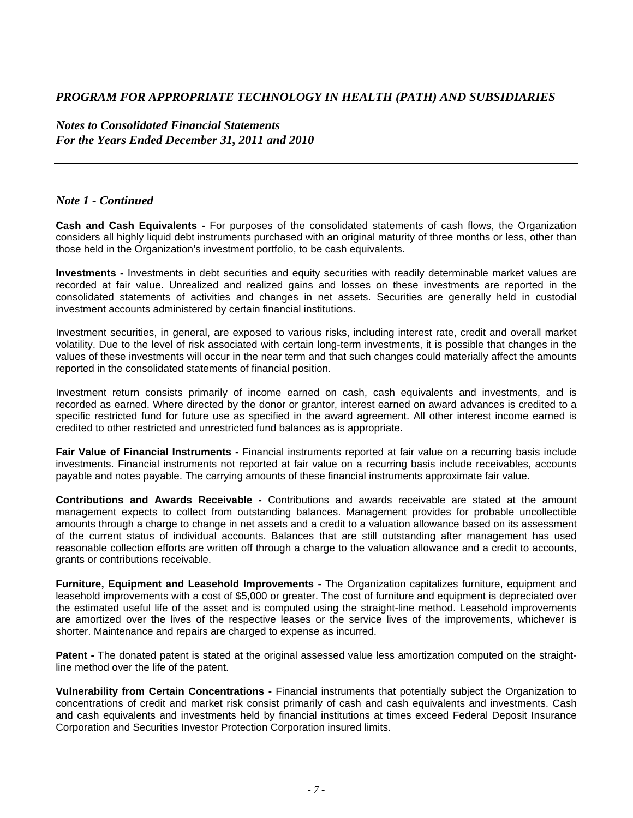*Notes to Consolidated Financial Statements For the Years Ended December 31, 2011 and 2010* 

#### *Note 1 - Continued*

**Cash and Cash Equivalents -** For purposes of the consolidated statements of cash flows, the Organization considers all highly liquid debt instruments purchased with an original maturity of three months or less, other than those held in the Organization's investment portfolio, to be cash equivalents.

**Investments -** Investments in debt securities and equity securities with readily determinable market values are recorded at fair value. Unrealized and realized gains and losses on these investments are reported in the consolidated statements of activities and changes in net assets. Securities are generally held in custodial investment accounts administered by certain financial institutions.

Investment securities, in general, are exposed to various risks, including interest rate, credit and overall market volatility. Due to the level of risk associated with certain long-term investments, it is possible that changes in the values of these investments will occur in the near term and that such changes could materially affect the amounts reported in the consolidated statements of financial position.

Investment return consists primarily of income earned on cash, cash equivalents and investments, and is recorded as earned. Where directed by the donor or grantor, interest earned on award advances is credited to a specific restricted fund for future use as specified in the award agreement. All other interest income earned is credited to other restricted and unrestricted fund balances as is appropriate.

**Fair Value of Financial Instruments -** Financial instruments reported at fair value on a recurring basis include investments. Financial instruments not reported at fair value on a recurring basis include receivables, accounts payable and notes payable. The carrying amounts of these financial instruments approximate fair value.

**Contributions and Awards Receivable -** Contributions and awards receivable are stated at the amount management expects to collect from outstanding balances. Management provides for probable uncollectible amounts through a charge to change in net assets and a credit to a valuation allowance based on its assessment of the current status of individual accounts. Balances that are still outstanding after management has used reasonable collection efforts are written off through a charge to the valuation allowance and a credit to accounts, grants or contributions receivable.

**Furniture, Equipment and Leasehold Improvements -** The Organization capitalizes furniture, equipment and leasehold improvements with a cost of \$5,000 or greater. The cost of furniture and equipment is depreciated over the estimated useful life of the asset and is computed using the straight-line method. Leasehold improvements are amortized over the lives of the respective leases or the service lives of the improvements, whichever is shorter. Maintenance and repairs are charged to expense as incurred.

**Patent -** The donated patent is stated at the original assessed value less amortization computed on the straightline method over the life of the patent.

**Vulnerability from Certain Concentrations -** Financial instruments that potentially subject the Organization to concentrations of credit and market risk consist primarily of cash and cash equivalents and investments. Cash and cash equivalents and investments held by financial institutions at times exceed Federal Deposit Insurance Corporation and Securities Investor Protection Corporation insured limits.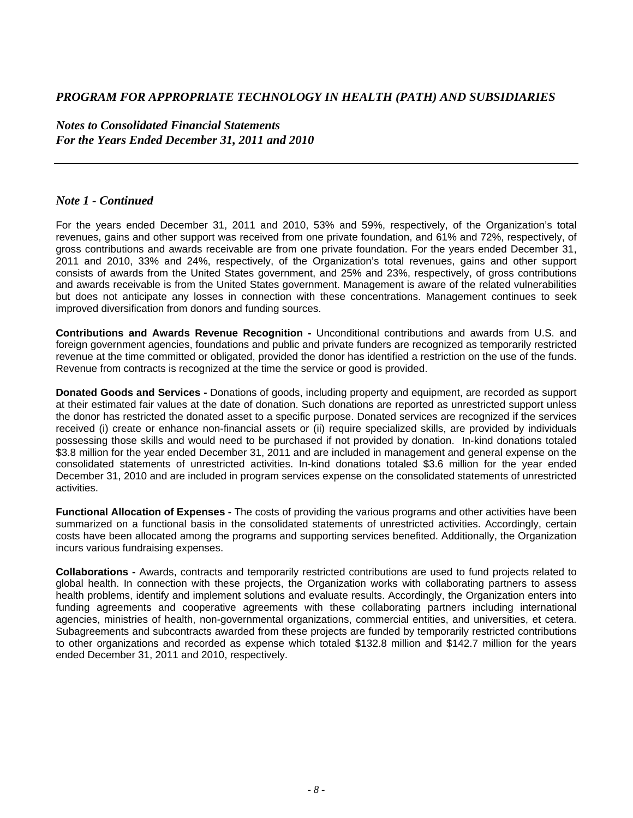*Notes to Consolidated Financial Statements For the Years Ended December 31, 2011 and 2010* 

#### *Note 1 - Continued*

For the years ended December 31, 2011 and 2010, 53% and 59%, respectively, of the Organization's total revenues, gains and other support was received from one private foundation, and 61% and 72%, respectively, of gross contributions and awards receivable are from one private foundation. For the years ended December 31, 2011 and 2010, 33% and 24%, respectively, of the Organization's total revenues, gains and other support consists of awards from the United States government, and 25% and 23%, respectively, of gross contributions and awards receivable is from the United States government. Management is aware of the related vulnerabilities but does not anticipate any losses in connection with these concentrations. Management continues to seek improved diversification from donors and funding sources.

**Contributions and Awards Revenue Recognition -** Unconditional contributions and awards from U.S. and foreign government agencies, foundations and public and private funders are recognized as temporarily restricted revenue at the time committed or obligated, provided the donor has identified a restriction on the use of the funds. Revenue from contracts is recognized at the time the service or good is provided.

**Donated Goods and Services -** Donations of goods, including property and equipment, are recorded as support at their estimated fair values at the date of donation. Such donations are reported as unrestricted support unless the donor has restricted the donated asset to a specific purpose. Donated services are recognized if the services received (i) create or enhance non-financial assets or (ii) require specialized skills, are provided by individuals possessing those skills and would need to be purchased if not provided by donation. In-kind donations totaled \$3.8 million for the year ended December 31, 2011 and are included in management and general expense on the consolidated statements of unrestricted activities. In-kind donations totaled \$3.6 million for the year ended December 31, 2010 and are included in program services expense on the consolidated statements of unrestricted activities.

**Functional Allocation of Expenses -** The costs of providing the various programs and other activities have been summarized on a functional basis in the consolidated statements of unrestricted activities. Accordingly, certain costs have been allocated among the programs and supporting services benefited. Additionally, the Organization incurs various fundraising expenses.

**Collaborations -** Awards, contracts and temporarily restricted contributions are used to fund projects related to global health. In connection with these projects, the Organization works with collaborating partners to assess health problems, identify and implement solutions and evaluate results. Accordingly, the Organization enters into funding agreements and cooperative agreements with these collaborating partners including international agencies, ministries of health, non-governmental organizations, commercial entities, and universities, et cetera. Subagreements and subcontracts awarded from these projects are funded by temporarily restricted contributions to other organizations and recorded as expense which totaled \$132.8 million and \$142.7 million for the years ended December 31, 2011 and 2010, respectively.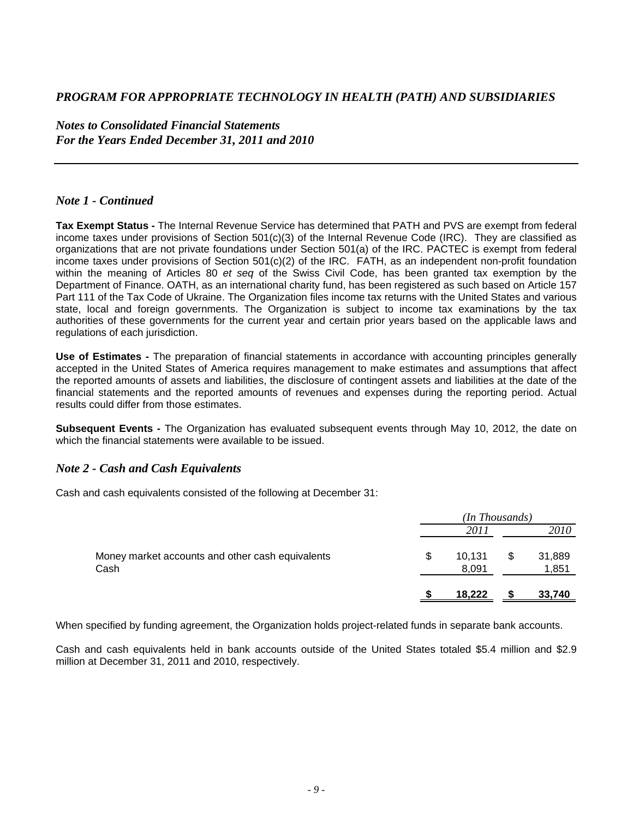*Notes to Consolidated Financial Statements For the Years Ended December 31, 2011 and 2010* 

#### *Note 1 - Continued*

**Tax Exempt Status -** The Internal Revenue Service has determined that PATH and PVS are exempt from federal income taxes under provisions of Section 501(c)(3) of the Internal Revenue Code (IRC). They are classified as organizations that are not private foundations under Section 501(a) of the IRC. PACTEC is exempt from federal income taxes under provisions of Section 501(c)(2) of the IRC. FATH, as an independent non-profit foundation within the meaning of Articles 80 *et seq* of the Swiss Civil Code, has been granted tax exemption by the Department of Finance. OATH, as an international charity fund, has been registered as such based on Article 157 Part 111 of the Tax Code of Ukraine. The Organization files income tax returns with the United States and various state, local and foreign governments. The Organization is subject to income tax examinations by the tax authorities of these governments for the current year and certain prior years based on the applicable laws and regulations of each jurisdiction.

**Use of Estimates -** The preparation of financial statements in accordance with accounting principles generally accepted in the United States of America requires management to make estimates and assumptions that affect the reported amounts of assets and liabilities, the disclosure of contingent assets and liabilities at the date of the financial statements and the reported amounts of revenues and expenses during the reporting period. Actual results could differ from those estimates.

**Subsequent Events** *-* The Organization has evaluated subsequent events through May 10, 2012, the date on which the financial statements were available to be issued.

#### *Note 2 - Cash and Cash Equivalents*

Cash and cash equivalents consisted of the following at December 31:

|                                                          |   | (In Thousands)  |   |                 |
|----------------------------------------------------------|---|-----------------|---|-----------------|
|                                                          |   | 2011            |   | 2010            |
| Money market accounts and other cash equivalents<br>Cash | S | 10.131<br>8.091 | S | 31,889<br>1,851 |
|                                                          |   | 18,222          |   | 33,740          |

When specified by funding agreement, the Organization holds project-related funds in separate bank accounts.

Cash and cash equivalents held in bank accounts outside of the United States totaled \$5.4 million and \$2.9 million at December 31, 2011 and 2010, respectively.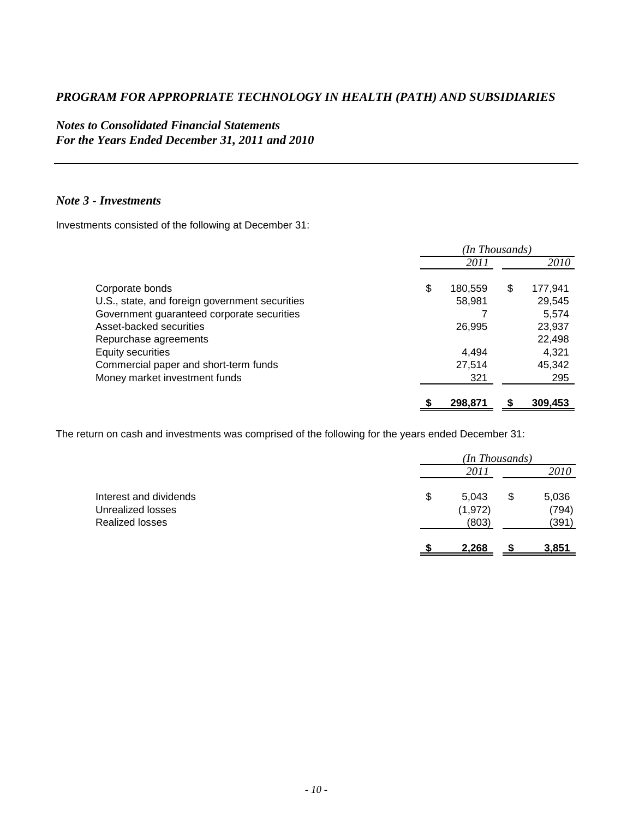## *Notes to Consolidated Financial Statements For the Years Ended December 31, 2011 and 2010*

### *Note 3 - Investments*

Investments consisted of the following at December 31:

|                                                | (In Thousands) |         |    |         |  |
|------------------------------------------------|----------------|---------|----|---------|--|
|                                                |                | 2011    |    | 2010    |  |
| Corporate bonds                                | \$             | 180,559 | \$ | 177,941 |  |
| U.S., state, and foreign government securities |                | 58,981  |    | 29,545  |  |
| Government guaranteed corporate securities     |                |         |    | 5.574   |  |
| Asset-backed securities                        |                | 26,995  |    | 23,937  |  |
| Repurchase agreements                          |                |         |    | 22,498  |  |
| Equity securities                              |                | 4.494   |    | 4,321   |  |
| Commercial paper and short-term funds          |                | 27,514  |    | 45,342  |  |
| Money market investment funds                  |                | 321     |    | 295     |  |
|                                                |                | 298,871 |    | 309,453 |  |

The return on cash and investments was comprised of the following for the years ended December 31:

|                                                                       | (In Thousands)                   |    |                         |  |
|-----------------------------------------------------------------------|----------------------------------|----|-------------------------|--|
|                                                                       | 2011                             |    | 2010                    |  |
| Interest and dividends<br>Unrealized losses<br><b>Realized losses</b> | \$<br>5,043<br>(1, 972)<br>(803) | \$ | 5,036<br>(794)<br>(391) |  |
|                                                                       | 2,268                            |    | <u>3,851</u>            |  |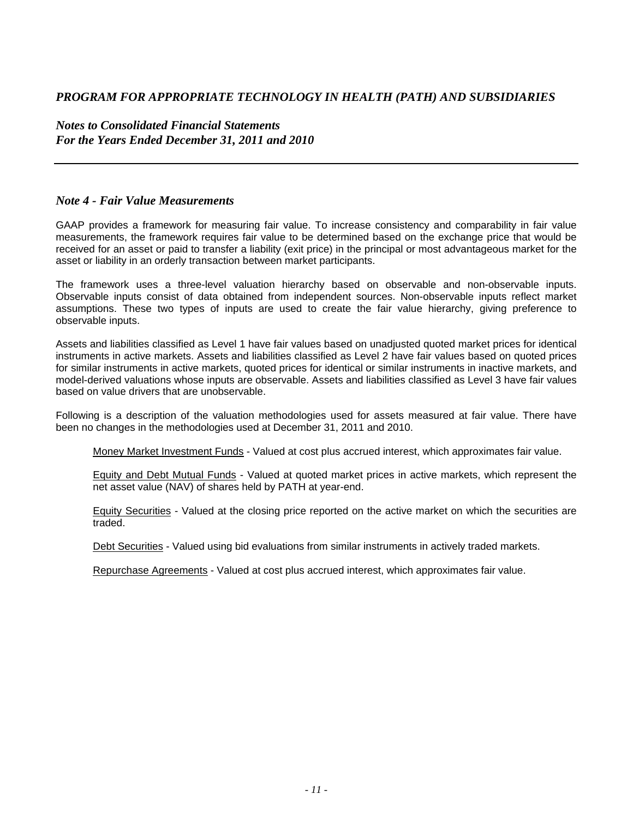*Notes to Consolidated Financial Statements For the Years Ended December 31, 2011 and 2010* 

#### *Note 4 - Fair Value Measurements*

GAAP provides a framework for measuring fair value. To increase consistency and comparability in fair value measurements, the framework requires fair value to be determined based on the exchange price that would be received for an asset or paid to transfer a liability (exit price) in the principal or most advantageous market for the asset or liability in an orderly transaction between market participants.

The framework uses a three-level valuation hierarchy based on observable and non-observable inputs. Observable inputs consist of data obtained from independent sources. Non-observable inputs reflect market assumptions. These two types of inputs are used to create the fair value hierarchy, giving preference to observable inputs.

Assets and liabilities classified as Level 1 have fair values based on unadjusted quoted market prices for identical instruments in active markets. Assets and liabilities classified as Level 2 have fair values based on quoted prices for similar instruments in active markets, quoted prices for identical or similar instruments in inactive markets, and model-derived valuations whose inputs are observable. Assets and liabilities classified as Level 3 have fair values based on value drivers that are unobservable.

Following is a description of the valuation methodologies used for assets measured at fair value. There have been no changes in the methodologies used at December 31, 2011 and 2010.

Money Market Investment Funds - Valued at cost plus accrued interest, which approximates fair value.

Equity and Debt Mutual Funds - Valued at quoted market prices in active markets, which represent the net asset value (NAV) of shares held by PATH at year-end.

Equity Securities - Valued at the closing price reported on the active market on which the securities are traded.

Debt Securities - Valued using bid evaluations from similar instruments in actively traded markets.

Repurchase Agreements - Valued at cost plus accrued interest, which approximates fair value.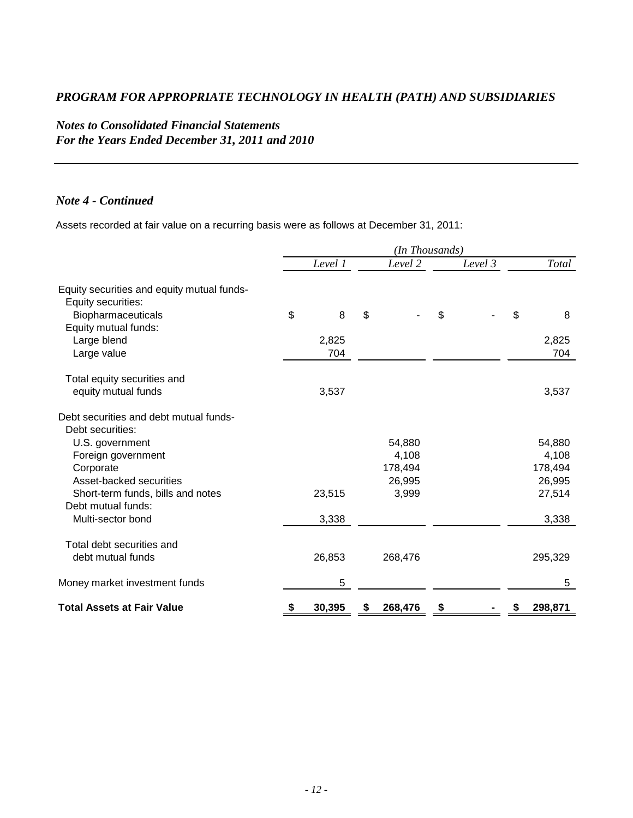# *Notes to Consolidated Financial Statements For the Years Ended December 31, 2011 and 2010*

### *Note 4 - Continued*

Assets recorded at fair value on a recurring basis were as follows at December 31, 2011:

|                                            | (In Thousands) |               |         |         |  |  |  |
|--------------------------------------------|----------------|---------------|---------|---------|--|--|--|
|                                            | Level 1        | Level 2       | Level 3 | Total   |  |  |  |
| Equity securities and equity mutual funds- |                |               |         |         |  |  |  |
| Equity securities:                         |                |               |         |         |  |  |  |
| Biopharmaceuticals                         | \$<br>8        | \$            | \$      | \$<br>8 |  |  |  |
| Equity mutual funds:                       |                |               |         |         |  |  |  |
| Large blend                                | 2,825          |               |         | 2,825   |  |  |  |
| Large value                                | 704            |               |         | 704     |  |  |  |
| Total equity securities and                |                |               |         |         |  |  |  |
| equity mutual funds                        | 3,537          |               |         | 3,537   |  |  |  |
| Debt securities and debt mutual funds-     |                |               |         |         |  |  |  |
| Debt securities:                           |                |               |         |         |  |  |  |
| U.S. government                            |                | 54,880        |         | 54,880  |  |  |  |
| Foreign government                         |                | 4,108         |         | 4,108   |  |  |  |
| Corporate                                  |                | 178,494       |         | 178,494 |  |  |  |
| Asset-backed securities                    |                | 26,995        |         | 26,995  |  |  |  |
| Short-term funds, bills and notes          | 23,515         | 3,999         |         | 27,514  |  |  |  |
| Debt mutual funds:                         |                |               |         |         |  |  |  |
| Multi-sector bond                          | 3,338          |               |         | 3,338   |  |  |  |
| Total debt securities and                  |                |               |         |         |  |  |  |
| debt mutual funds                          | 26,853         | 268,476       |         | 295,329 |  |  |  |
| Money market investment funds              | 5              |               |         | 5       |  |  |  |
| <b>Total Assets at Fair Value</b>          | 30,395<br>\$   | 268,476<br>\$ | \$      | 298,871 |  |  |  |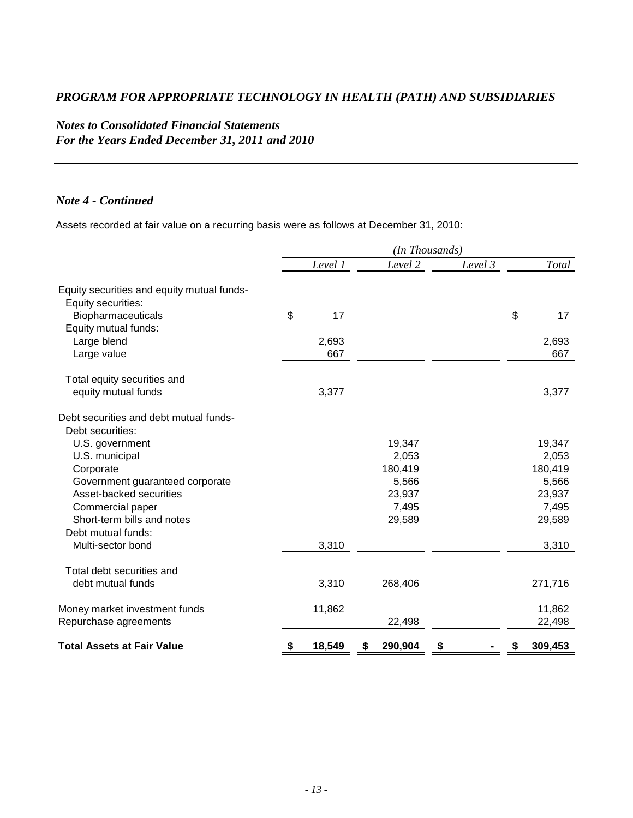# *Notes to Consolidated Financial Statements For the Years Ended December 31, 2011 and 2010*

### *Note 4 - Continued*

Assets recorded at fair value on a recurring basis were as follows at December 31, 2010:

|                                                                  | (In Thousands) |         |  |         |         |    |         |
|------------------------------------------------------------------|----------------|---------|--|---------|---------|----|---------|
|                                                                  |                | Level 1 |  | Level 2 | Level 3 |    | Total   |
| Equity securities and equity mutual funds-<br>Equity securities: |                |         |  |         |         |    |         |
| Biopharmaceuticals<br>Equity mutual funds:                       | \$             | 17      |  |         |         | \$ | 17      |
| Large blend                                                      |                | 2,693   |  |         |         |    | 2,693   |
| Large value                                                      |                | 667     |  |         |         |    | 667     |
| Total equity securities and                                      |                |         |  |         |         |    |         |
| equity mutual funds                                              |                | 3,377   |  |         |         |    | 3,377   |
| Debt securities and debt mutual funds-<br>Debt securities:       |                |         |  |         |         |    |         |
| U.S. government                                                  |                |         |  | 19,347  |         |    | 19,347  |
| U.S. municipal                                                   |                |         |  | 2,053   |         |    | 2,053   |
| Corporate                                                        |                |         |  | 180,419 |         |    | 180,419 |
| Government guaranteed corporate                                  |                |         |  | 5,566   |         |    | 5,566   |
| Asset-backed securities                                          |                |         |  | 23,937  |         |    | 23,937  |
| Commercial paper                                                 |                |         |  | 7,495   |         |    | 7,495   |
| Short-term bills and notes                                       |                |         |  | 29,589  |         |    | 29,589  |
| Debt mutual funds:                                               |                |         |  |         |         |    |         |
| Multi-sector bond                                                |                | 3,310   |  |         |         |    | 3,310   |
| Total debt securities and                                        |                |         |  |         |         |    |         |
| debt mutual funds                                                |                | 3,310   |  | 268,406 |         |    | 271,716 |
| Money market investment funds                                    |                | 11,862  |  |         |         |    | 11,862  |
| Repurchase agreements                                            |                |         |  | 22,498  |         |    | 22,498  |
| <b>Total Assets at Fair Value</b>                                |                | 18,549  |  | 290,904 |         |    | 309,453 |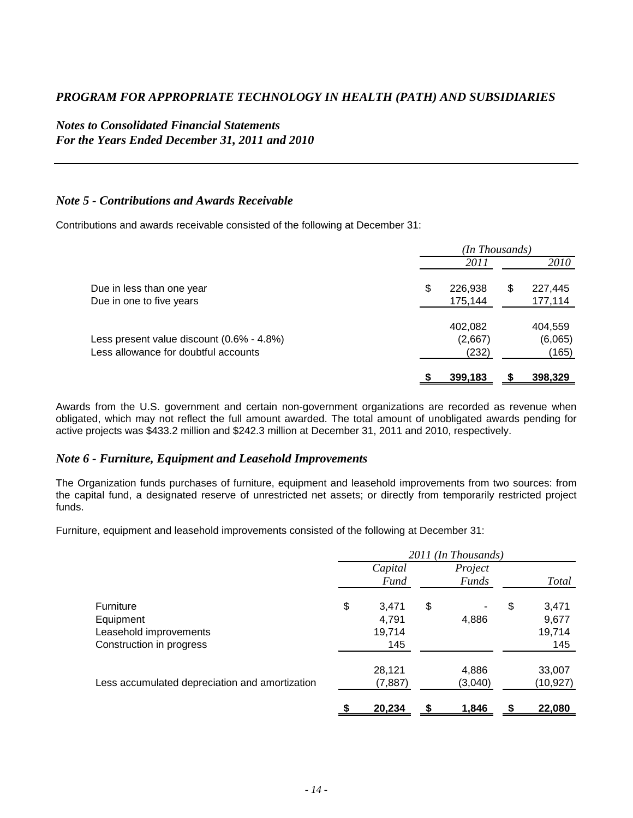## *Notes to Consolidated Financial Statements For the Years Ended December 31, 2011 and 2010*

#### *Note 5 - Contributions and Awards Receivable*

Contributions and awards receivable consisted of the following at December 31:

|                                           | (In Thousands) |         |   |             |  |
|-------------------------------------------|----------------|---------|---|-------------|--|
|                                           |                | 2011    |   | <i>2010</i> |  |
| Due in less than one year                 | \$             | 226,938 | S | 227,445     |  |
| Due in one to five years                  |                | 175,144 |   | 177,114     |  |
|                                           |                | 402,082 |   | 404,559     |  |
| Less present value discount (0.6% - 4.8%) |                | (2,667) |   | (6,065)     |  |
| Less allowance for doubtful accounts      |                | (232)   |   | (165)       |  |
|                                           |                | 399,183 |   | 398,329     |  |

Awards from the U.S. government and certain non-government organizations are recorded as revenue when obligated, which may not reflect the full amount awarded. The total amount of unobligated awards pending for active projects was \$433.2 million and \$242.3 million at December 31, 2011 and 2010, respectively.

#### *Note 6 - Furniture, Equipment and Leasehold Improvements*

The Organization funds purchases of furniture, equipment and leasehold improvements from two sources: from the capital fund, a designated reserve of unrestricted net assets; or directly from temporarily restricted project funds.

Furniture, equipment and leasehold improvements consisted of the following at December 31:

|                                                                                     | 2011 (In Thousands) |                                 |    |                         |    |                                 |
|-------------------------------------------------------------------------------------|---------------------|---------------------------------|----|-------------------------|----|---------------------------------|
|                                                                                     |                     | Capital<br>Fund                 |    | Project<br><b>Funds</b> |    | Total                           |
| <b>Furniture</b><br>Equipment<br>Leasehold improvements<br>Construction in progress | \$                  | 3,471<br>4,791<br>19,714<br>145 | \$ | ۰<br>4,886              | \$ | 3,471<br>9,677<br>19,714<br>145 |
| Less accumulated depreciation and amortization                                      |                     | 28,121<br>(7, 887)              |    | 4,886<br>(3,040)        |    | 33,007<br>(10,927)              |
|                                                                                     |                     | 20,234                          |    | 1.846                   |    | 22,080                          |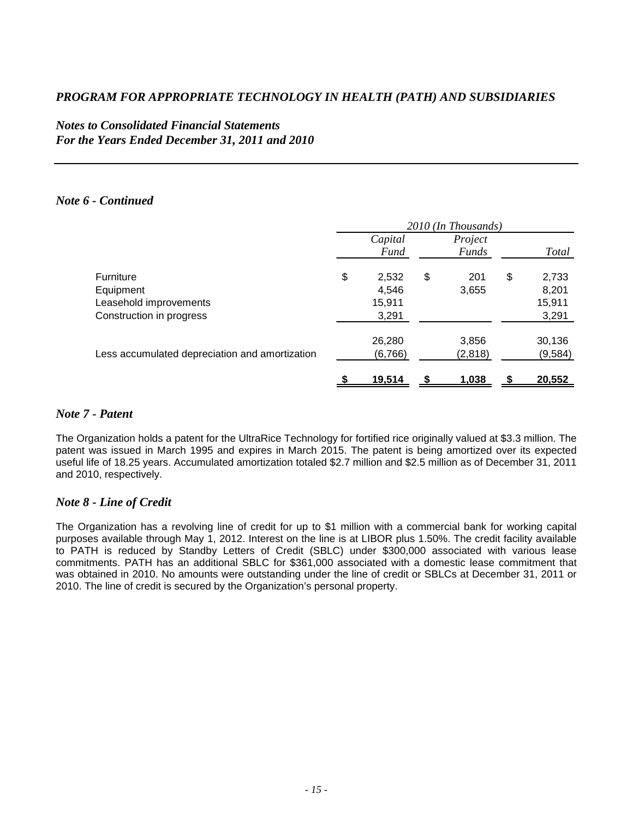## *Notes to Consolidated Financial Statements For the Years Ended December 31, 2011 and 2010*

#### *Note 6 - Continued*

|                                                                                     | 2010 (In Thousands) |                                   |    |                           |    |                                   |
|-------------------------------------------------------------------------------------|---------------------|-----------------------------------|----|---------------------------|----|-----------------------------------|
|                                                                                     |                     | Capital<br><b>Fund</b>            |    | Project<br><b>Funds</b>   |    | <b>Total</b>                      |
| <b>Furniture</b><br>Equipment<br>Leasehold improvements<br>Construction in progress | \$                  | 2,532<br>4,546<br>15,911<br>3,291 | \$ | 201<br>3,655              | \$ | 2,733<br>8,201<br>15,911<br>3,291 |
| Less accumulated depreciation and amortization                                      |                     | 26,280<br>(6,766)<br>19,514       |    | 3,856<br>(2,818)<br>1,038 |    | 30,136<br>(9,584)<br>20,552       |

#### *Note 7 - Patent*

The Organization holds a patent for the UltraRice Technology for fortified rice originally valued at \$3.3 million. The patent was issued in March 1995 and expires in March 2015. The patent is being amortized over its expected useful life of 18.25 years. Accumulated amortization totaled \$2.7 million and \$2.5 million as of December 31, 2011 and 2010, respectively.

#### *Note 8 - Line of Credit*

The Organization has a revolving line of credit for up to \$1 million with a commercial bank for working capital purposes available through May 1, 2012. Interest on the line is at LIBOR plus 1.50%. The credit facility available to PATH is reduced by Standby Letters of Credit (SBLC) under \$300,000 associated with various lease commitments. PATH has an additional SBLC for \$361,000 associated with a domestic lease commitment that was obtained in 2010. No amounts were outstanding under the line of credit or SBLCs at December 31, 2011 or 2010. The line of credit is secured by the Organization's personal property.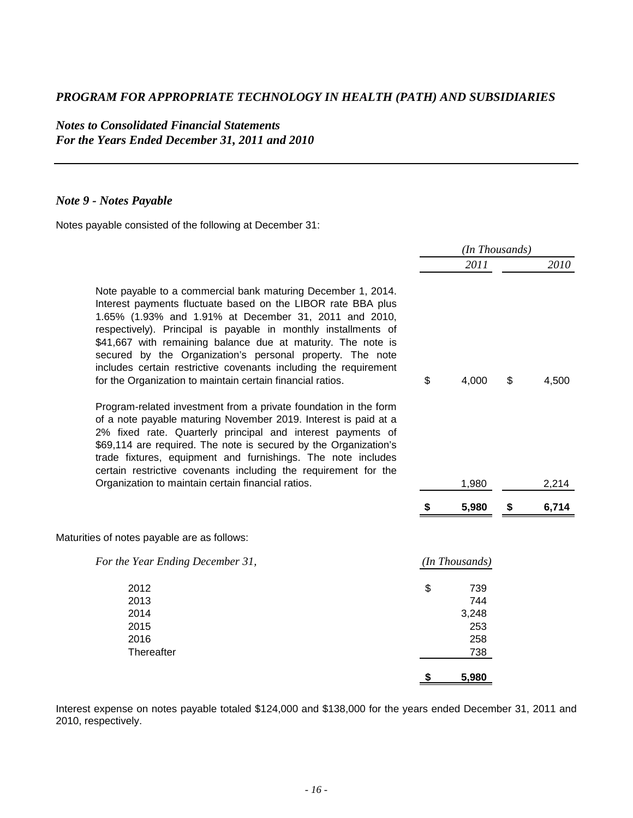*Notes to Consolidated Financial Statements For the Years Ended December 31, 2011 and 2010* 

## *Note 9 - Notes Payable*

Notes payable consisted of the following at December 31:

|                                                                                                                                                                                                                                                                                                                                                                                                                                                                                                                        | (In Thousands) |                                          |    |       |
|------------------------------------------------------------------------------------------------------------------------------------------------------------------------------------------------------------------------------------------------------------------------------------------------------------------------------------------------------------------------------------------------------------------------------------------------------------------------------------------------------------------------|----------------|------------------------------------------|----|-------|
|                                                                                                                                                                                                                                                                                                                                                                                                                                                                                                                        |                | 2011                                     |    | 2010  |
| Note payable to a commercial bank maturing December 1, 2014.<br>Interest payments fluctuate based on the LIBOR rate BBA plus<br>1.65% (1.93% and 1.91% at December 31, 2011 and 2010,<br>respectively). Principal is payable in monthly installments of<br>\$41,667 with remaining balance due at maturity. The note is<br>secured by the Organization's personal property. The note<br>includes certain restrictive covenants including the requirement<br>for the Organization to maintain certain financial ratios. | \$             | 4,000                                    | \$ | 4,500 |
| Program-related investment from a private foundation in the form<br>of a note payable maturing November 2019. Interest is paid at a<br>2% fixed rate. Quarterly principal and interest payments of<br>\$69,114 are required. The note is secured by the Organization's<br>trade fixtures, equipment and furnishings. The note includes<br>certain restrictive covenants including the requirement for the                                                                                                              |                |                                          |    |       |
| Organization to maintain certain financial ratios.                                                                                                                                                                                                                                                                                                                                                                                                                                                                     |                | 1,980                                    |    | 2,214 |
|                                                                                                                                                                                                                                                                                                                                                                                                                                                                                                                        |                | 5,980                                    | \$ | 6,714 |
| Maturities of notes payable are as follows:                                                                                                                                                                                                                                                                                                                                                                                                                                                                            |                |                                          |    |       |
| For the Year Ending December 31,                                                                                                                                                                                                                                                                                                                                                                                                                                                                                       |                | (In Thousands)                           |    |       |
| 2012<br>2013<br>2014<br>2015<br>2016<br>Thereafter                                                                                                                                                                                                                                                                                                                                                                                                                                                                     | \$             | 739<br>744<br>3,248<br>253<br>258<br>738 |    |       |
|                                                                                                                                                                                                                                                                                                                                                                                                                                                                                                                        | S              | 5,980                                    |    |       |

Interest expense on notes payable totaled \$124,000 and \$138,000 for the years ended December 31, 2011 and 2010, respectively.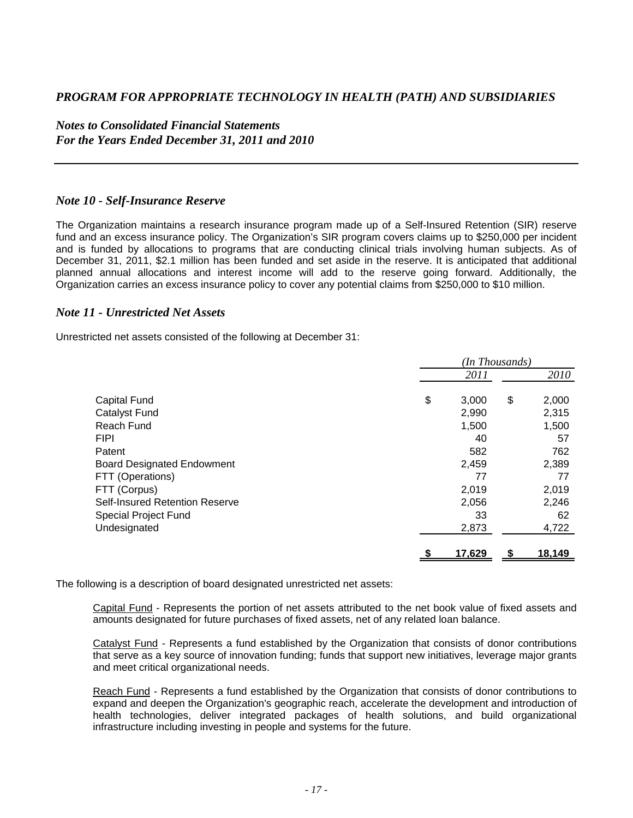*Notes to Consolidated Financial Statements For the Years Ended December 31, 2011 and 2010* 

#### *Note 10 - Self-Insurance Reserve*

The Organization maintains a research insurance program made up of a Self-Insured Retention (SIR) reserve fund and an excess insurance policy. The Organization's SIR program covers claims up to \$250,000 per incident and is funded by allocations to programs that are conducting clinical trials involving human subjects. As of December 31, 2011, \$2.1 million has been funded and set aside in the reserve. It is anticipated that additional planned annual allocations and interest income will add to the reserve going forward. Additionally, the Organization carries an excess insurance policy to cover any potential claims from \$250,000 to \$10 million.

#### *Note 11 - Unrestricted Net Assets*

Unrestricted net assets consisted of the following at December 31:

|                                   | (In Thousands) |        |    |        |  |
|-----------------------------------|----------------|--------|----|--------|--|
|                                   |                | 2011   |    | 2010   |  |
| <b>Capital Fund</b>               | \$             | 3,000  | \$ | 2,000  |  |
|                                   |                |        |    |        |  |
| <b>Catalyst Fund</b>              |                | 2,990  |    | 2,315  |  |
| Reach Fund                        |                | 1,500  |    | 1,500  |  |
| <b>FIPI</b>                       |                | 40     |    | 57     |  |
| Patent                            |                | 582    |    | 762    |  |
| <b>Board Designated Endowment</b> |                | 2,459  |    | 2,389  |  |
| FTT (Operations)                  |                | 77     |    | 77     |  |
| FTT (Corpus)                      |                | 2,019  |    | 2,019  |  |
| Self-Insured Retention Reserve    |                | 2,056  |    | 2,246  |  |
| <b>Special Project Fund</b>       |                | 33     |    | 62     |  |
| Undesignated                      |                | 2,873  |    | 4,722  |  |
|                                   | \$             | 17,629 | S  | 18,149 |  |

The following is a description of board designated unrestricted net assets:

Capital Fund - Represents the portion of net assets attributed to the net book value of fixed assets and amounts designated for future purchases of fixed assets, net of any related loan balance.

Catalyst Fund - Represents a fund established by the Organization that consists of donor contributions that serve as a key source of innovation funding; funds that support new initiatives, leverage major grants and meet critical organizational needs.

Reach Fund - Represents a fund established by the Organization that consists of donor contributions to expand and deepen the Organization's geographic reach, accelerate the development and introduction of health technologies, deliver integrated packages of health solutions, and build organizational infrastructure including investing in people and systems for the future.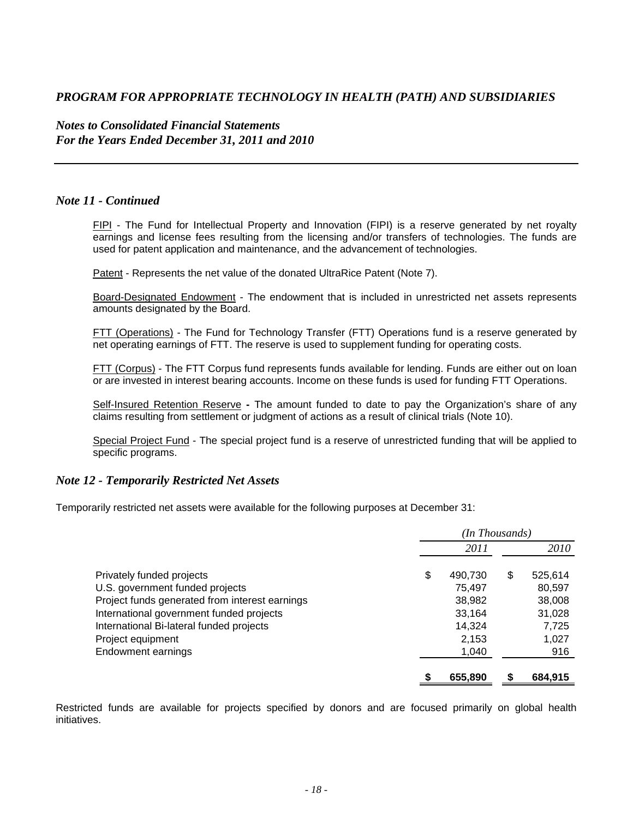#### *Notes to Consolidated Financial Statements For the Years Ended December 31, 2011 and 2010*

#### *Note 11 - Continued*

FIPI - The Fund for Intellectual Property and Innovation (FIPI) is a reserve generated by net royalty earnings and license fees resulting from the licensing and/or transfers of technologies. The funds are used for patent application and maintenance, and the advancement of technologies.

Patent - Represents the net value of the donated UltraRice Patent (Note 7).

Board-Designated Endowment - The endowment that is included in unrestricted net assets represents amounts designated by the Board.

FTT (Operations) - The Fund for Technology Transfer (FTT) Operations fund is a reserve generated by net operating earnings of FTT. The reserve is used to supplement funding for operating costs.

FTT (Corpus) - The FTT Corpus fund represents funds available for lending. Funds are either out on loan or are invested in interest bearing accounts. Income on these funds is used for funding FTT Operations.

Self-Insured Retention Reserve **-** The amount funded to date to pay the Organization's share of any claims resulting from settlement or judgment of actions as a result of clinical trials (Note 10).

Special Project Fund - The special project fund is a reserve of unrestricted funding that will be applied to specific programs.

#### *Note 12 - Temporarily Restricted Net Assets*

Temporarily restricted net assets were available for the following purposes at December 31:

|                                                | (In Thousands) |         |    |         |  |
|------------------------------------------------|----------------|---------|----|---------|--|
|                                                |                | 2011    |    | 2010    |  |
| Privately funded projects                      | \$             | 490,730 | \$ | 525,614 |  |
| U.S. government funded projects                |                | 75,497  |    | 80,597  |  |
| Project funds generated from interest earnings |                | 38,982  |    | 38,008  |  |
| International government funded projects       |                | 33,164  |    | 31,028  |  |
| International Bi-lateral funded projects       |                | 14,324  |    | 7,725   |  |
| Project equipment                              |                | 2,153   |    | 1,027   |  |
| Endowment earnings                             |                | 1,040   |    | 916     |  |
|                                                |                | 655,890 |    | 684,915 |  |

Restricted funds are available for projects specified by donors and are focused primarily on global health initiatives.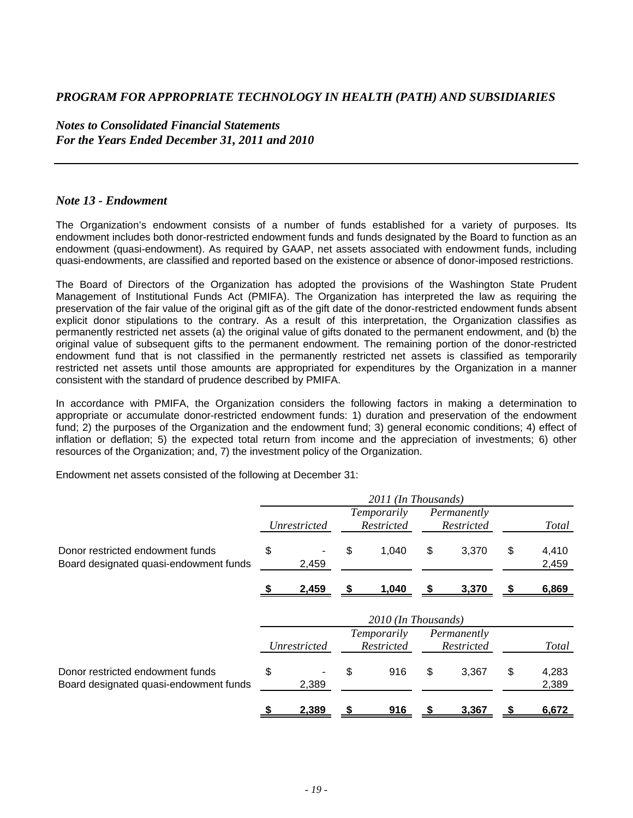*Notes to Consolidated Financial Statements For the Years Ended December 31, 2011 and 2010* 

### *Note 13 - Endowment*

The Organization's endowment consists of a number of funds established for a variety of purposes. Its endowment includes both donor-restricted endowment funds and funds designated by the Board to function as an endowment (quasi-endowment). As required by GAAP, net assets associated with endowment funds, including quasi-endowments, are classified and reported based on the existence or absence of donor-imposed restrictions.

The Board of Directors of the Organization has adopted the provisions of the Washington State Prudent Management of Institutional Funds Act (PMIFA). The Organization has interpreted the law as requiring the preservation of the fair value of the original gift as of the gift date of the donor-restricted endowment funds absent explicit donor stipulations to the contrary. As a result of this interpretation, the Organization classifies as permanently restricted net assets (a) the original value of gifts donated to the permanent endowment, and (b) the original value of subsequent gifts to the permanent endowment. The remaining portion of the donor-restricted endowment fund that is not classified in the permanently restricted net assets is classified as temporarily restricted net assets until those amounts are appropriated for expenditures by the Organization in a manner consistent with the standard of prudence described by PMIFA.

In accordance with PMIFA, the Organization considers the following factors in making a determination to appropriate or accumulate donor-restricted endowment funds: 1) duration and preservation of the endowment fund; 2) the purposes of the Organization and the endowment fund; 3) general economic conditions; 4) effect of inflation or deflation; 5) the expected total return from income and the appreciation of investments; 6) other resources of the Organization; and, 7) the investment policy of the Organization.

Endowment net assets consisted of the following at December 31:

|                                                                            | 2011 (In Thousands) |              |    |                           |    |                                  |    |                |
|----------------------------------------------------------------------------|---------------------|--------------|----|---------------------------|----|----------------------------------|----|----------------|
|                                                                            |                     | Unrestricted |    | Temporarily<br>Restricted |    | Permanently<br><b>Restricted</b> |    | Total          |
| Donor restricted endowment funds<br>Board designated quasi-endowment funds | \$                  | 2,459        | \$ | 1,040                     | \$ | 3,370                            | \$ | 4,410<br>2,459 |
|                                                                            |                     | 2,459        | S. | 1,040                     |    | 3,370                            |    | 6,869          |
|                                                                            |                     |              |    | 2010 (In Thousands)       |    |                                  |    |                |
|                                                                            |                     | Unrestricted |    | Temporarily<br>Restricted |    | Permanently<br>Restricted        |    | <b>Total</b>   |
| Donor restricted endowment funds<br>Board designated quasi-endowment funds | \$                  | 2,389        | \$ | 916                       | \$ | 3,367                            | \$ | 4,283<br>2,389 |
|                                                                            | \$                  | 2,389        | \$ | 916                       | S  | 3,367                            | S  | 6,672          |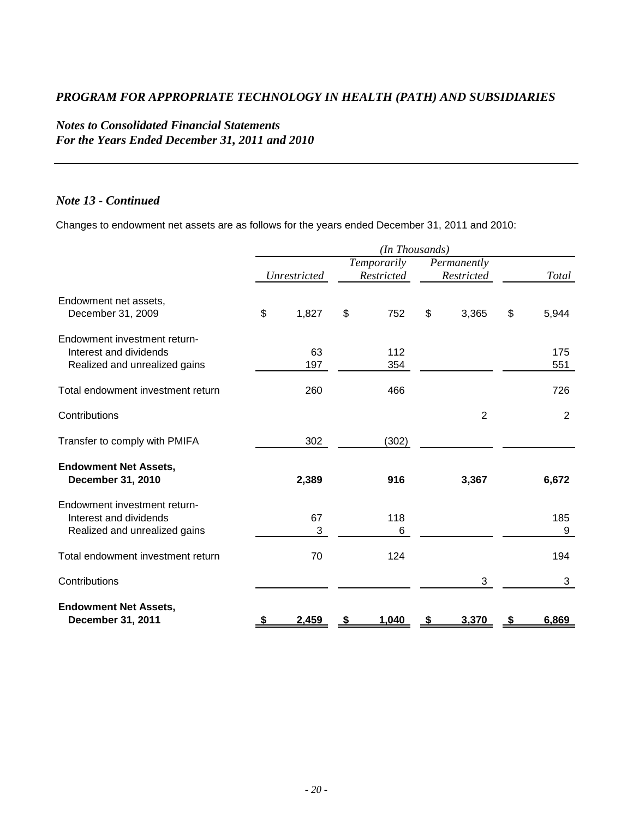# *Notes to Consolidated Financial Statements For the Years Ended December 31, 2011 and 2010*

#### *Note 13 - Continued*

Changes to endowment net assets are as follows for the years ended December 31, 2011 and 2010:

|                                                                                         | (In Thousands) |              |    |                           |    |                           |    |          |
|-----------------------------------------------------------------------------------------|----------------|--------------|----|---------------------------|----|---------------------------|----|----------|
|                                                                                         |                | Unrestricted |    | Temporarily<br>Restricted |    | Permanently<br>Restricted |    | Total    |
| Endowment net assets,<br>December 31, 2009                                              | \$             | 1,827        | \$ | 752                       | \$ | 3,365                     | \$ | 5,944    |
| Endowment investment return-<br>Interest and dividends                                  |                | 63           |    | 112                       |    |                           |    | 175      |
| Realized and unrealized gains                                                           |                | 197          |    | 354                       |    |                           |    | 551      |
| Total endowment investment return                                                       |                | 260          |    | 466                       |    |                           |    | 726      |
| Contributions                                                                           |                |              |    |                           |    | $\overline{2}$            |    | 2        |
| Transfer to comply with PMIFA                                                           |                | 302          |    | (302)                     |    |                           |    |          |
| <b>Endowment Net Assets,</b><br>December 31, 2010                                       |                | 2,389        |    | 916                       |    | 3,367                     |    | 6,672    |
| Endowment investment return-<br>Interest and dividends<br>Realized and unrealized gains |                | 67<br>3      |    | 118<br>6                  |    |                           |    | 185<br>9 |
| Total endowment investment return                                                       |                | 70           |    | 124                       |    |                           |    | 194      |
| Contributions                                                                           |                |              |    |                           |    | 3                         |    | 3        |
| <b>Endowment Net Assets,</b><br>December 31, 2011                                       |                | 2,459        |    | 1,040                     | \$ | 3,370                     | \$ | 6,869    |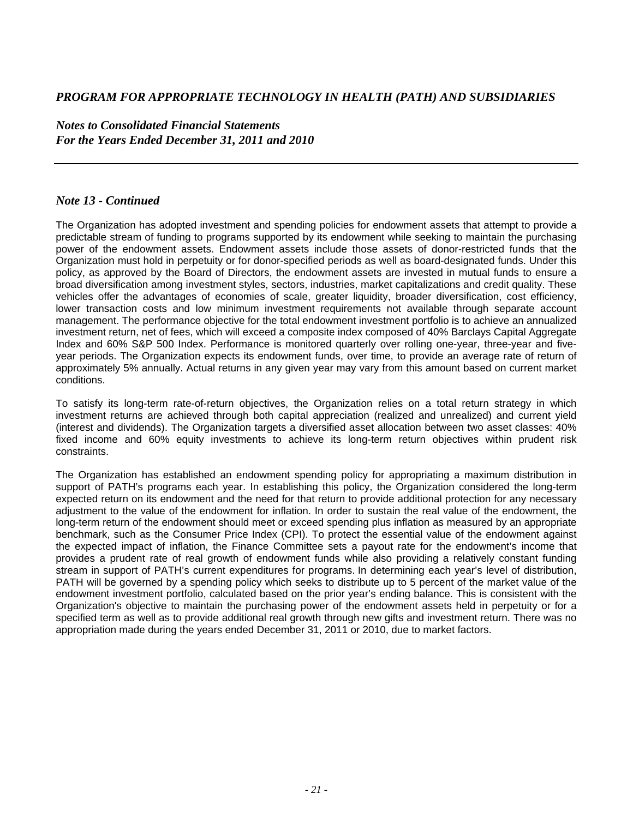*Notes to Consolidated Financial Statements For the Years Ended December 31, 2011 and 2010* 

#### *Note 13 - Continued*

The Organization has adopted investment and spending policies for endowment assets that attempt to provide a predictable stream of funding to programs supported by its endowment while seeking to maintain the purchasing power of the endowment assets. Endowment assets include those assets of donor-restricted funds that the Organization must hold in perpetuity or for donor-specified periods as well as board-designated funds. Under this policy, as approved by the Board of Directors, the endowment assets are invested in mutual funds to ensure a broad diversification among investment styles, sectors, industries, market capitalizations and credit quality. These vehicles offer the advantages of economies of scale, greater liquidity, broader diversification, cost efficiency, lower transaction costs and low minimum investment requirements not available through separate account management. The performance objective for the total endowment investment portfolio is to achieve an annualized investment return, net of fees, which will exceed a composite index composed of 40% Barclays Capital Aggregate Index and 60% S&P 500 Index. Performance is monitored quarterly over rolling one-year, three-year and fiveyear periods. The Organization expects its endowment funds, over time, to provide an average rate of return of approximately 5% annually. Actual returns in any given year may vary from this amount based on current market conditions.

To satisfy its long-term rate-of-return objectives, the Organization relies on a total return strategy in which investment returns are achieved through both capital appreciation (realized and unrealized) and current yield (interest and dividends). The Organization targets a diversified asset allocation between two asset classes: 40% fixed income and 60% equity investments to achieve its long-term return objectives within prudent risk constraints.

The Organization has established an endowment spending policy for appropriating a maximum distribution in support of PATH's programs each year. In establishing this policy, the Organization considered the long-term expected return on its endowment and the need for that return to provide additional protection for any necessary adjustment to the value of the endowment for inflation. In order to sustain the real value of the endowment, the long-term return of the endowment should meet or exceed spending plus inflation as measured by an appropriate benchmark, such as the Consumer Price Index (CPI). To protect the essential value of the endowment against the expected impact of inflation, the Finance Committee sets a payout rate for the endowment's income that provides a prudent rate of real growth of endowment funds while also providing a relatively constant funding stream in support of PATH's current expenditures for programs. In determining each year's level of distribution, PATH will be governed by a spending policy which seeks to distribute up to 5 percent of the market value of the endowment investment portfolio, calculated based on the prior year's ending balance. This is consistent with the Organization's objective to maintain the purchasing power of the endowment assets held in perpetuity or for a specified term as well as to provide additional real growth through new gifts and investment return. There was no appropriation made during the years ended December 31, 2011 or 2010, due to market factors.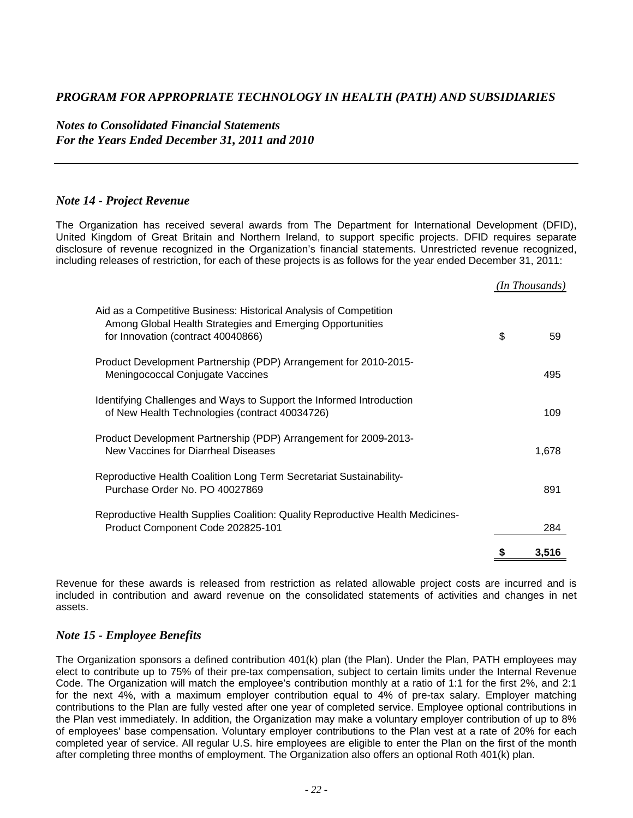*Notes to Consolidated Financial Statements For the Years Ended December 31, 2011 and 2010* 

#### *Note 14 - Project Revenue*

The Organization has received several awards from The Department for International Development (DFID), United Kingdom of Great Britain and Northern Ireland, to support specific projects. DFID requires separate disclosure of revenue recognized in the Organization's financial statements. Unrestricted revenue recognized, including releases of restriction, for each of these projects is as follows for the year ended December 31, 2011:

|                                                                                                                                                                      | (In Thousands) |
|----------------------------------------------------------------------------------------------------------------------------------------------------------------------|----------------|
| Aid as a Competitive Business: Historical Analysis of Competition<br>Among Global Health Strategies and Emerging Opportunities<br>for Innovation (contract 40040866) | \$<br>59       |
| Product Development Partnership (PDP) Arrangement for 2010-2015-<br>Meningococcal Conjugate Vaccines                                                                 | 495            |
| Identifying Challenges and Ways to Support the Informed Introduction<br>of New Health Technologies (contract 40034726)                                               | 109            |
| Product Development Partnership (PDP) Arrangement for 2009-2013-<br>New Vaccines for Diarrheal Diseases                                                              | 1,678          |
| Reproductive Health Coalition Long Term Secretariat Sustainability-<br>Purchase Order No. PO 40027869                                                                | 891            |
| Reproductive Health Supplies Coalition: Quality Reproductive Health Medicines-<br>Product Component Code 202825-101                                                  | 284            |
|                                                                                                                                                                      | 3,516          |

Revenue for these awards is released from restriction as related allowable project costs are incurred and is included in contribution and award revenue on the consolidated statements of activities and changes in net assets.

#### *Note 15 - Employee Benefits*

The Organization sponsors a defined contribution 401(k) plan (the Plan). Under the Plan, PATH employees may elect to contribute up to 75% of their pre-tax compensation, subject to certain limits under the Internal Revenue Code. The Organization will match the employee's contribution monthly at a ratio of 1:1 for the first 2%, and 2:1 for the next 4%, with a maximum employer contribution equal to 4% of pre-tax salary. Employer matching contributions to the Plan are fully vested after one year of completed service. Employee optional contributions in the Plan vest immediately. In addition, the Organization may make a voluntary employer contribution of up to 8% of employees' base compensation. Voluntary employer contributions to the Plan vest at a rate of 20% for each completed year of service. All regular U.S. hire employees are eligible to enter the Plan on the first of the month after completing three months of employment. The Organization also offers an optional Roth 401(k) plan.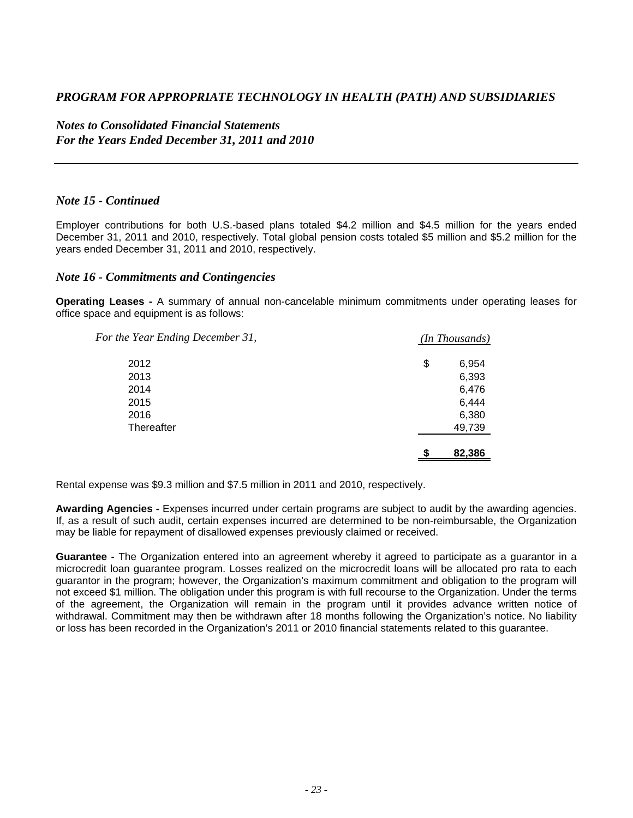*Notes to Consolidated Financial Statements For the Years Ended December 31, 2011 and 2010* 

#### *Note 15 - Continued*

Employer contributions for both U.S.-based plans totaled \$4.2 million and \$4.5 million for the years ended December 31, 2011 and 2010, respectively. Total global pension costs totaled \$5 million and \$5.2 million for the years ended December 31, 2011 and 2010, respectively.

#### *Note 16 - Commitments and Contingencies*

**Operating Leases -** A summary of annual non-cancelable minimum commitments under operating leases for office space and equipment is as follows:

| For the Year Ending December 31, | ( <i>In Thousands</i> ) |
|----------------------------------|-------------------------|
| 2012                             | \$<br>6,954             |
| 2013                             | 6,393                   |
| 2014                             | 6,476                   |
| 2015                             | 6,444                   |
| 2016                             | 6,380                   |
| Thereafter                       | 49,739                  |
|                                  | 82,386                  |

Rental expense was \$9.3 million and \$7.5 million in 2011 and 2010, respectively.

**Awarding Agencies -** Expenses incurred under certain programs are subject to audit by the awarding agencies. If, as a result of such audit, certain expenses incurred are determined to be non-reimbursable, the Organization may be liable for repayment of disallowed expenses previously claimed or received.

**Guarantee -** The Organization entered into an agreement whereby it agreed to participate as a guarantor in a microcredit loan guarantee program. Losses realized on the microcredit loans will be allocated pro rata to each guarantor in the program; however, the Organization's maximum commitment and obligation to the program will not exceed \$1 million. The obligation under this program is with full recourse to the Organization. Under the terms of the agreement, the Organization will remain in the program until it provides advance written notice of withdrawal. Commitment may then be withdrawn after 18 months following the Organization's notice. No liability or loss has been recorded in the Organization's 2011 or 2010 financial statements related to this guarantee.